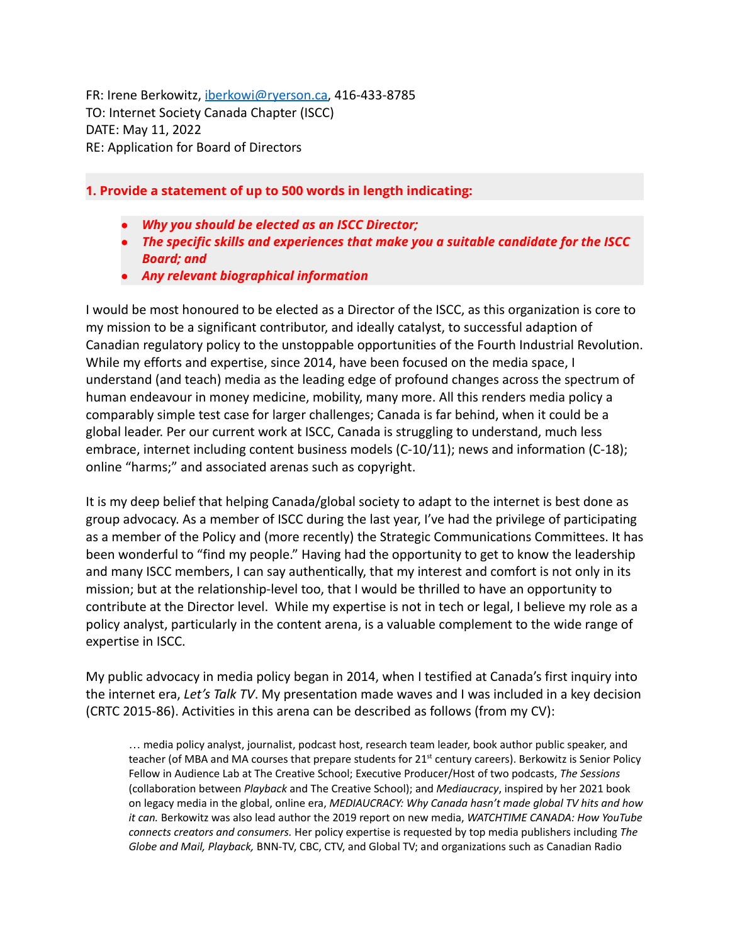FR: Irene Berkowitz, [iberkowi@ryerson.ca,](mailto:iberkowi@ryerson.ca) 416-433-8785 TO: Internet Society Canada Chapter (ISCC) DATE: May 11, 2022 RE: Application for Board of Directors

## **1. Provide a statement of up to 500 words in length indicating:**

- *Why you should be elected as an ISCC Director;*
- *The specific skills and experiences that make you a suitable candidate for the ISCC Board; and*
- *Any relevant biographical information*

I would be most honoured to be elected as a Director of the ISCC, as this organization is core to my mission to be a significant contributor, and ideally catalyst, to successful adaption of Canadian regulatory policy to the unstoppable opportunities of the Fourth Industrial Revolution. While my efforts and expertise, since 2014, have been focused on the media space, I understand (and teach) media as the leading edge of profound changes across the spectrum of human endeavour in money medicine, mobility, many more. All this renders media policy a comparably simple test case for larger challenges; Canada is far behind, when it could be a global leader. Per our current work at ISCC, Canada is struggling to understand, much less embrace, internet including content business models (C-10/11); news and information (C-18); online "harms;" and associated arenas such as copyright.

It is my deep belief that helping Canada/global society to adapt to the internet is best done as group advocacy. As a member of ISCC during the last year, I've had the privilege of participating as a member of the Policy and (more recently) the Strategic Communications Committees. It has been wonderful to "find my people." Having had the opportunity to get to know the leadership and many ISCC members, I can say authentically, that my interest and comfort is not only in its mission; but at the relationship-level too, that I would be thrilled to have an opportunity to contribute at the Director level. While my expertise is not in tech or legal, I believe my role as a policy analyst, particularly in the content arena, is a valuable complement to the wide range of expertise in ISCC.

My public advocacy in media policy began in 2014, when I testified at Canada's first inquiry into the internet era, *Let's Talk TV*. My presentation made waves and I was included in a key decision (CRTC 2015-86). Activities in this arena can be described as follows (from my CV):

… media policy analyst, journalist, podcast host, research team leader, book author public speaker, and teacher (of MBA and MA courses that prepare students for 21<sup>st</sup> century careers). Berkowitz is Senior Policy Fellow in Audience Lab at The Creative School; Executive Producer/Host of two podcasts, *The Sessions* (collaboration between *Playback* and The Creative School); and *Mediaucracy*, inspired by her 2021 book on legacy media in the global, online era, *MEDIAUCRACY: Why Canada hasn't made global TV hits and how it can.* Berkowitz was also lead author the 2019 report on new media, *WATCHTIME CANADA: How YouTube connects creators and consumers.* Her policy expertise is requested by top media publishers including *The Globe and Mail, Playback,* BNN-TV, CBC, CTV, and Global TV; and organizations such as Canadian Radio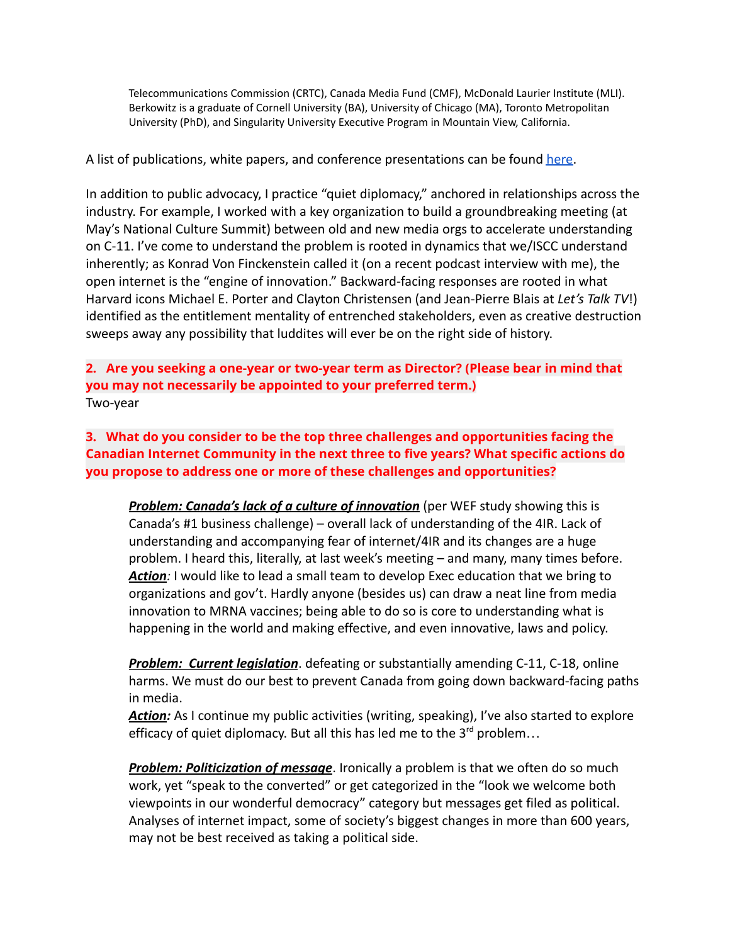Telecommunications Commission (CRTC), Canada Media Fund (CMF), McDonald Laurier Institute (MLI). Berkowitz is a graduate of Cornell University (BA), University of Chicago (MA), Toronto Metropolitan University (PhD), and Singularity University Executive Program in Mountain View, California.

A list of publications, white papers, and conference presentations can be found [here.](https://docs.google.com/document/u/0/d/13Jz-3seBA39f4b2mno43mAFtx4esiI3fuRwxH0uoKQM/edit)

In addition to public advocacy, I practice "quiet diplomacy," anchored in relationships across the industry. For example, I worked with a key organization to build a groundbreaking meeting (at May's National Culture Summit) between old and new media orgs to accelerate understanding on C-11. I've come to understand the problem is rooted in dynamics that we/ISCC understand inherently; as Konrad Von Finckenstein called it (on a recent podcast interview with me), the open internet is the "engine of innovation." Backward-facing responses are rooted in what Harvard icons Michael E. Porter and Clayton Christensen (and Jean-Pierre Blais at *Let's Talk TV*!) identified as the entitlement mentality of entrenched stakeholders, even as creative destruction sweeps away any possibility that luddites will ever be on the right side of history.

**2. Are you seeking a one-year or two-year term as Director? (Please bear in mind that you may not necessarily be appointed to your preferred term.)** Two-year

**3. What do you consider to be the top three challenges and opportunities facing the Canadian Internet Community in the next three to five years? What specific actions do you propose to address one or more of these challenges and opportunities?**

*Problem: Canada's lack of a culture of innovation* (per WEF study showing this is Canada's #1 business challenge) – overall lack of understanding of the 4IR. Lack of understanding and accompanying fear of internet/4IR and its changes are a huge problem. I heard this, literally, at last week's meeting – and many, many times before. Action: I would like to lead a small team to develop Exec education that we bring to organizations and gov't. Hardly anyone (besides us) can draw a neat line from media innovation to MRNA vaccines; being able to do so is core to understanding what is happening in the world and making effective, and even innovative, laws and policy.

*Problem: Current legislation*. defeating or substantially amending C-11, C-18, online harms. We must do our best to prevent Canada from going down backward-facing paths in media.

*Action:* As I continue my public activities (writing, speaking), I've also started to explore efficacy of quiet diplomacy. But all this has led me to the  $3^{rd}$  problem...

*Problem: Politicization of message*. Ironically a problem is that we often do so much work, yet "speak to the converted" or get categorized in the "look we welcome both viewpoints in our wonderful democracy" category but messages get filed as political. Analyses of internet impact, some of society's biggest changes in more than 600 years, may not be best received as taking a political side.